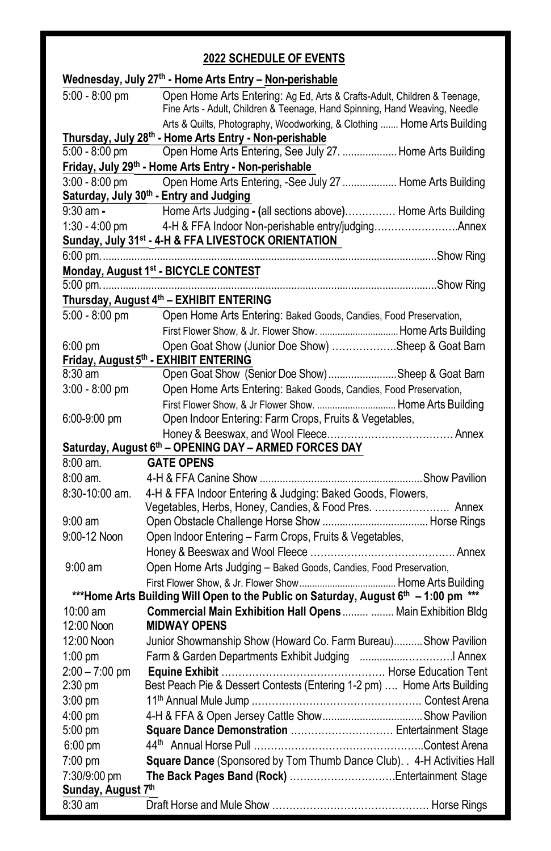# **2022 SCHEDULE OF EVENTS**

|                    | Wednesday, July 27th - Home Arts Entry - Non-perishable                                                                                                |  |  |  |
|--------------------|--------------------------------------------------------------------------------------------------------------------------------------------------------|--|--|--|
| $5:00 - 8:00$ pm   | Open Home Arts Entering: Ag Ed, Arts & Crafts-Adult, Children & Teenage,<br>Fine Arts - Adult, Children & Teenage, Hand Spinning, Hand Weaving, Needle |  |  |  |
|                    | Arts & Quilts, Photography, Woodworking, & Clothing  Home Arts Building                                                                                |  |  |  |
|                    | Thursday, July 28th - Home Arts Entry - Non-perishable                                                                                                 |  |  |  |
| $5:00 - 8:00$ pm   | Open Home Arts Entering, See July 27.  Home Arts Building                                                                                              |  |  |  |
|                    | Friday, July 29 <sup>th</sup> - Home Arts Entry - Non-perishable                                                                                       |  |  |  |
| $3:00 - 8:00$ pm   | Open Home Arts Entering, -See July 27  Home Arts Building                                                                                              |  |  |  |
|                    | Saturday, July 30th - Entry and Judging                                                                                                                |  |  |  |
| $9:30$ am -        | Home Arts Judging - (all sections above) Home Arts Building                                                                                            |  |  |  |
| $1:30 - 4:00$ pm   |                                                                                                                                                        |  |  |  |
|                    | Sunday, July 31 <sup>st</sup> - 4-H & FFA LIVESTOCK ORIENTATION                                                                                        |  |  |  |
|                    |                                                                                                                                                        |  |  |  |
|                    | Monday, August 1 <sup>st</sup> - BICYCLE CONTEST                                                                                                       |  |  |  |
|                    | Thursday, August 4th - EXHIBIT ENTERING                                                                                                                |  |  |  |
|                    |                                                                                                                                                        |  |  |  |
| $5:00 - 8:00$ pm   | Open Home Arts Entering: Baked Goods, Candies, Food Preservation,                                                                                      |  |  |  |
|                    |                                                                                                                                                        |  |  |  |
| $6:00$ pm          | Open Goat Show (Junior Doe Show) Sheep & Goat Barn<br>Friday, August 5th - EXHIBIT ENTERING                                                            |  |  |  |
| $8:30$ am          | Open Goat Show (Senior Doe Show)Sheep & Goat Barn                                                                                                      |  |  |  |
| $3:00 - 8:00$ pm   | Open Home Arts Entering: Baked Goods, Candies, Food Preservation,                                                                                      |  |  |  |
|                    |                                                                                                                                                        |  |  |  |
| 6:00-9:00 pm       | Open Indoor Entering: Farm Crops, Fruits & Vegetables,                                                                                                 |  |  |  |
|                    |                                                                                                                                                        |  |  |  |
|                    | Saturday, August 6th - OPENING DAY - ARMED FORCES DAY                                                                                                  |  |  |  |
| $8:00$ am.         | <b>GATE OPENS</b>                                                                                                                                      |  |  |  |
| 8:00 am.           |                                                                                                                                                        |  |  |  |
| 8:30-10:00 am.     | 4-H & FFA Indoor Entering & Judging: Baked Goods, Flowers,                                                                                             |  |  |  |
|                    | Vegetables, Herbs, Honey, Candies, & Food Pres.  Annex                                                                                                 |  |  |  |
| $9:00 \text{ am}$  |                                                                                                                                                        |  |  |  |
| 9:00-12 Noon       | Open Indoor Entering - Farm Crops, Fruits & Vegetables,                                                                                                |  |  |  |
|                    |                                                                                                                                                        |  |  |  |
| $9:00 \text{ am}$  | Open Home Arts Judging - Baked Goods, Candies, Food Preservation,                                                                                      |  |  |  |
|                    |                                                                                                                                                        |  |  |  |
|                    | ***Home Arts Building Will Open to the Public on Saturday, August 6 <sup>th</sup> - 1:00 pm ***                                                        |  |  |  |
| 10:00 am           | Commercial Main Exhibition Hall Opens   Main Exhibition Bldg                                                                                           |  |  |  |
| 12:00 Noon         | <b>MIDWAY OPENS</b>                                                                                                                                    |  |  |  |
| 12:00 Noon         | Junior Showmanship Show (Howard Co. Farm Bureau) Show Pavilion                                                                                         |  |  |  |
| $1:00$ pm          |                                                                                                                                                        |  |  |  |
| $2:00 - 7:00$ pm   |                                                                                                                                                        |  |  |  |
| $2:30$ pm          | Best Peach Pie & Dessert Contests (Entering 1-2 pm)  Home Arts Building                                                                                |  |  |  |
| 3:00 pm            |                                                                                                                                                        |  |  |  |
| $4:00$ pm          |                                                                                                                                                        |  |  |  |
| 5:00 pm            | Square Dance Demonstration  Entertainment Stage                                                                                                        |  |  |  |
| $6:00 \text{ pm}$  |                                                                                                                                                        |  |  |  |
| $7:00 \text{ pm}$  | Square Dance (Sponsored by Tom Thumb Dance Club). . 4-H Activities Hall                                                                                |  |  |  |
| 7:30/9:00 pm       |                                                                                                                                                        |  |  |  |
| Sunday, August 7th |                                                                                                                                                        |  |  |  |
| 8:30 am            |                                                                                                                                                        |  |  |  |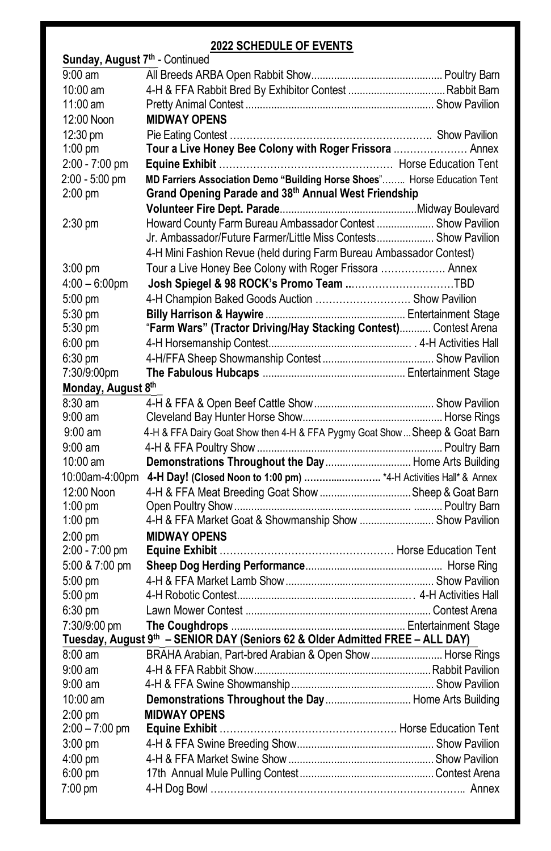# **2022 SCHEDULE OF EVENTS**

| Sunday, August 7 <sup>th</sup> - Continued |                                                                                |  |
|--------------------------------------------|--------------------------------------------------------------------------------|--|
| $9:00$ am                                  |                                                                                |  |
| $10:00$ am                                 |                                                                                |  |
| 11:00 am                                   |                                                                                |  |
| 12:00 Noon                                 | <b>MIDWAY OPENS</b>                                                            |  |
| 12:30 pm                                   |                                                                                |  |
| $1:00$ pm                                  | Tour a Live Honey Bee Colony with Roger Frissora  Annex                        |  |
| 2:00 - 7:00 pm                             |                                                                                |  |
| 2:00 - 5:00 pm                             | MD Farriers Association Demo "Building Horse Shoes" Horse Education Tent       |  |
| $2:00$ pm                                  | Grand Opening Parade and 38th Annual West Friendship                           |  |
|                                            |                                                                                |  |
| 2:30 pm                                    | Howard County Farm Bureau Ambassador Contest  Show Pavilion                    |  |
|                                            | Jr. Ambassador/Future Farmer/Little Miss Contests Show Pavilion                |  |
|                                            | 4-H Mini Fashion Revue (held during Farm Bureau Ambassador Contest)            |  |
| $3:00 \text{ pm}$                          | Tour a Live Honey Bee Colony with Roger Frissora  Annex                        |  |
| $4:00 - 6:00$ pm                           |                                                                                |  |
| 5:00 pm                                    | 4-H Champion Baked Goods Auction  Show Pavilion                                |  |
| 5:30 pm                                    |                                                                                |  |
| 5:30 pm                                    | "Farm Wars" (Tractor Driving/Hay Stacking Contest) Contest Arena               |  |
| $6:00$ pm                                  |                                                                                |  |
| $6:30$ pm                                  |                                                                                |  |
| 7:30/9:00pm                                |                                                                                |  |
| Monday, August 8th                         |                                                                                |  |
| $8:30 \text{ am}$                          |                                                                                |  |
| $9:00$ am                                  |                                                                                |  |
| $9:00 \text{ am}$                          | 4-H & FFA Dairy Goat Show then 4-H & FFA Pygmy Goat Show  Sheep & Goat Barn    |  |
| $9:00$ am                                  |                                                                                |  |
| $10:00$ am                                 | Demonstrations Throughout the Day  Home Arts Building                          |  |
|                                            | 10:00am-4:00pm 4-H Day! (Closed Noon to 1:00 pm) *4-H Activities Hall* & Annex |  |
| 12:00 Noon                                 | 4-H & FFA Meat Breeding Goat Show Sheep & Goat Barn                            |  |
| $1:00$ pm                                  |                                                                                |  |
| $1:00$ pm                                  | 4-H & FFA Market Goat & Showmanship Show  Show Pavilion                        |  |
| $2:00$ pm                                  | <b>MIDWAY OPENS</b>                                                            |  |
| 2:00 - 7:00 pm                             |                                                                                |  |
| 5:00 & 7:00 pm                             |                                                                                |  |
| 5:00 pm                                    |                                                                                |  |
| 5:00 pm                                    |                                                                                |  |
| $6:30$ pm                                  |                                                                                |  |
| 7:30/9:00 pm                               |                                                                                |  |
|                                            | Tuesday, August 9th - SENIOR DAY (Seniors 62 & Older Admitted FREE - ALL DAY)  |  |
| $8:00 \text{ am}$                          | BRAHA Arabian, Part-bred Arabian & Open Show  Horse Rings                      |  |
| $9:00 \text{ am}$                          |                                                                                |  |
| $9:00$ am                                  |                                                                                |  |
| $10:00$ am                                 | Demonstrations Throughout the Day  Home Arts Building                          |  |
| $2:00$ pm                                  | <b>MIDWAY OPENS</b>                                                            |  |
| $2:00 - 7:00$ pm                           |                                                                                |  |
| $3:00$ pm                                  |                                                                                |  |
| $4:00 \text{ pm}$                          |                                                                                |  |
| $6:00 \text{ pm}$                          |                                                                                |  |
| 7:00 pm                                    |                                                                                |  |
|                                            |                                                                                |  |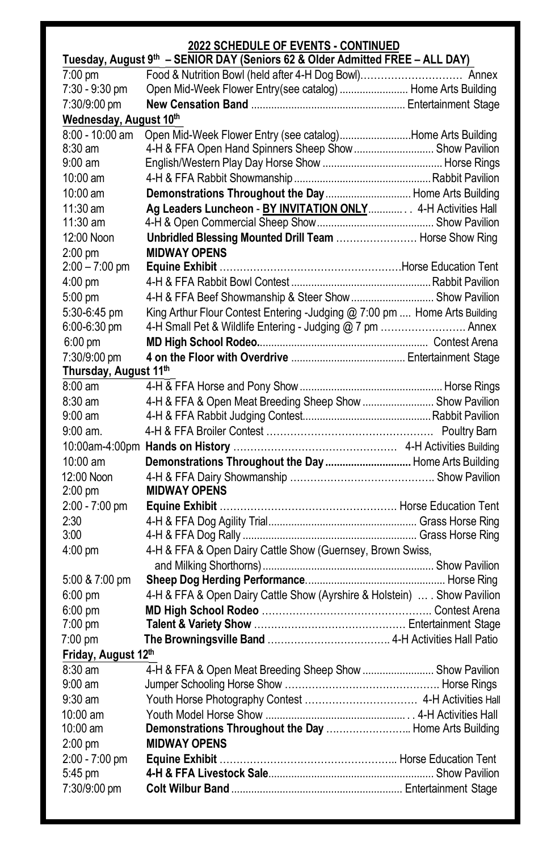# **2022 SCHEDULE OF EVENTS - CONTINUED**

| Tuesday, August 9th - SENIOR DAY (Seniors 62 & Older Admitted FREE - ALL DAY) |                                                                           |  |  |  |
|-------------------------------------------------------------------------------|---------------------------------------------------------------------------|--|--|--|
| 7:00 pm                                                                       |                                                                           |  |  |  |
| 7:30 - 9:30 pm                                                                | Open Mid-Week Flower Entry(see catalog)  Home Arts Building               |  |  |  |
| 7:30/9:00 pm                                                                  |                                                                           |  |  |  |
| Wednesday, August 10th                                                        |                                                                           |  |  |  |
| 8:00 - 10:00 am                                                               | Open Mid-Week Flower Entry (see catalog)Home Arts Building                |  |  |  |
| $8:30$ am                                                                     | 4-H & FFA Open Hand Spinners Sheep Show  Show Pavilion                    |  |  |  |
| $9:00 \text{ am}$                                                             |                                                                           |  |  |  |
| 10:00 am                                                                      |                                                                           |  |  |  |
| 10:00 am                                                                      | Demonstrations Throughout the Day  Home Arts Building                     |  |  |  |
| $11:30$ am                                                                    | Ag Leaders Luncheon - BY INVITATION ONLY 4-H Activities Hall              |  |  |  |
| $11:30$ am                                                                    |                                                                           |  |  |  |
| 12:00 Noon                                                                    | Unbridled Blessing Mounted Drill Team  Horse Show Ring                    |  |  |  |
| $2:00$ pm                                                                     | <b>MIDWAY OPENS</b>                                                       |  |  |  |
| $2:00 - 7:00$ pm                                                              |                                                                           |  |  |  |
| 4:00 pm                                                                       |                                                                           |  |  |  |
| 5:00 pm                                                                       | 4-H & FFA Beef Showmanship & Steer Show  Show Pavilion                    |  |  |  |
| 5:30-6:45 pm                                                                  | King Arthur Flour Contest Entering -Judging @ 7:00 pm  Home Arts Building |  |  |  |
| 6:00-6:30 pm                                                                  | 4-H Small Pet & Wildlife Entering - Judging @ 7 pm  Annex                 |  |  |  |
| $6:00 \text{ pm}$                                                             |                                                                           |  |  |  |
| 7:30/9:00 pm                                                                  |                                                                           |  |  |  |
| Thursday, August 11th                                                         |                                                                           |  |  |  |
| $8:00 \text{ am}$                                                             |                                                                           |  |  |  |
| $8:30 \text{ am}$                                                             | 4-H & FFA & Open Meat Breeding Sheep Show  Show Pavilion                  |  |  |  |
| $9:00 \text{ am}$                                                             |                                                                           |  |  |  |
| $9:00$ am.                                                                    |                                                                           |  |  |  |
|                                                                               |                                                                           |  |  |  |
| 10:00 am                                                                      | Demonstrations Throughout the Day  Home Arts Building                     |  |  |  |
| 12:00 Noon                                                                    |                                                                           |  |  |  |
| $2:00$ pm                                                                     | <b>MIDWAY OPENS</b>                                                       |  |  |  |
| 2:00 - 7:00 pm                                                                |                                                                           |  |  |  |
| 2:30                                                                          |                                                                           |  |  |  |
| 3:00                                                                          |                                                                           |  |  |  |
| $4:00 \text{ pm}$                                                             | 4-H & FFA & Open Dairy Cattle Show (Guernsey, Brown Swiss,                |  |  |  |
|                                                                               |                                                                           |  |  |  |
| 5:00 & 7:00 pm                                                                |                                                                           |  |  |  |
| $6:00$ pm                                                                     | 4-H & FFA & Open Dairy Cattle Show (Ayrshire & Holstein)  . Show Pavilion |  |  |  |
| $6:00$ pm                                                                     |                                                                           |  |  |  |
| $7:00 \text{ pm}$                                                             |                                                                           |  |  |  |
| $7:00 \text{ pm}$                                                             |                                                                           |  |  |  |
| Friday, August 12th                                                           |                                                                           |  |  |  |
| 8:30 am                                                                       | 4-H & FFA & Open Meat Breeding Sheep Show  Show Pavilion                  |  |  |  |
| $9:00 \text{ am}$                                                             |                                                                           |  |  |  |
| 9:30 am                                                                       |                                                                           |  |  |  |
| 10:00 am                                                                      |                                                                           |  |  |  |
| $10:00$ am                                                                    | Demonstrations Throughout the Day  Home Arts Building                     |  |  |  |
| $2:00$ pm                                                                     | <b>MIDWAY OPENS</b>                                                       |  |  |  |
| 2:00 - 7:00 pm                                                                |                                                                           |  |  |  |
| 5:45 pm                                                                       |                                                                           |  |  |  |
| 7:30/9:00 pm                                                                  |                                                                           |  |  |  |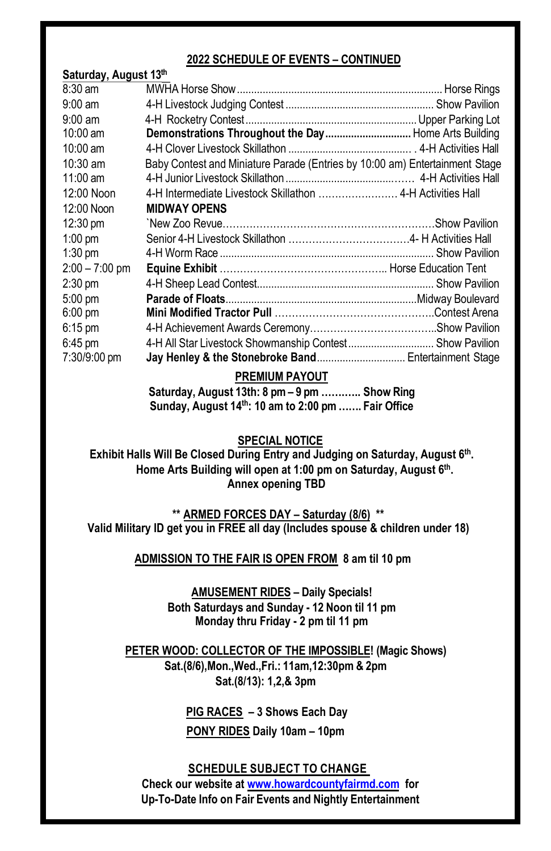## **2022 SCHEDULE OF EVENTS – CONTINUED**

**Saturday, August 13th**

| .                  |                                                                             |  |
|--------------------|-----------------------------------------------------------------------------|--|
| $8:30$ am          |                                                                             |  |
| $9:00 \text{ am}$  |                                                                             |  |
| $9:00$ am          |                                                                             |  |
| $10:00$ am         | Demonstrations Throughout the Day  Home Arts Building                       |  |
| $10:00$ am         |                                                                             |  |
| $10:30$ am         | Baby Contest and Miniature Parade (Entries by 10:00 am) Entertainment Stage |  |
| $11:00$ am         |                                                                             |  |
| 12:00 Noon         |                                                                             |  |
| 12:00 Noon         | <b>MIDWAY OPENS</b>                                                         |  |
| $12:30 \text{ pm}$ |                                                                             |  |
| $1:00$ pm          |                                                                             |  |
| $1:30$ pm          |                                                                             |  |
| $2:00 - 7:00$ pm   |                                                                             |  |
| $2:30$ pm          |                                                                             |  |
| $5:00$ pm          |                                                                             |  |
| $6:00 \text{ pm}$  |                                                                             |  |
| $6:15$ pm          |                                                                             |  |
| $6:45 \text{ pm}$  | 4-H All Star Livestock Showmanship Contest Show Pavilion                    |  |
| 7:30/9:00 pm       | Jay Henley & the Stonebroke Band Entertainment Stage                        |  |
|                    |                                                                             |  |

### **PREMIUM PAYOUT**

**Saturday, August 13th: 8 pm – 9 pm …….….. Show Ring Sunday, August 14th: 10 am to 2:00 pm ……. Fair Office**

**SPECIAL NOTICE**

**Exhibit Halls Will Be Closed During Entry and Judging on Saturday, August 6th. Home Arts Building will open at 1:00 pm on Saturday, August 6th. Annex opening TBD**

**\*\* ARMED FORCES DAY – Saturday (8/6) \*\* Valid Military ID get you in FREE all day (Includes spouse & children under 18)**

 **ADMISSION TO THE FAIR IS OPEN FROM 8 am til 10 pm**

**AMUSEMENT RIDES – Daily Specials! Both Saturdays and Sunday - 12 Noon til 11 pm Monday thru Friday - 2 pm til 11 pm**

**PETER WOOD: COLLECTOR OF THE IMPOSSIBLE! (Magic Shows) Sat.(8/6),Mon.,Wed.,Fri.: 11am,12:30pm & 2pm Sat.(8/13): 1,2,& 3pm**

> **PIG RACES – 3 Shows Each Day PONY RIDES Daily 10am – 10pm**

**SCHEDULE SUBJECT TO CHANGE Check our website at www.howardcountyfairmd.com for Up-To-Date Info on Fair Events and Nightly Entertainment**